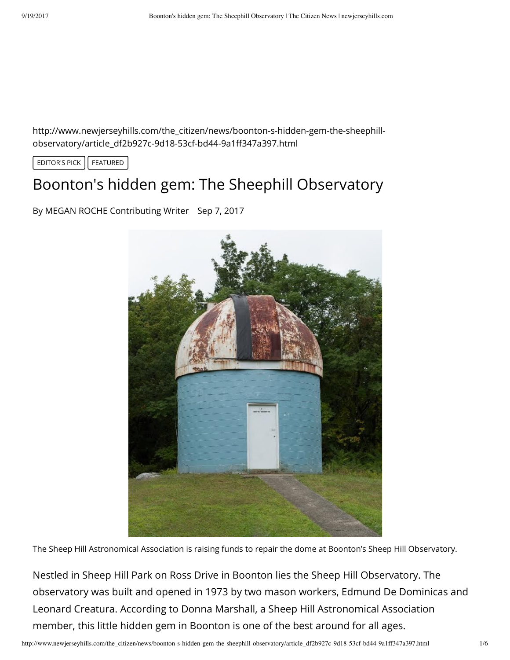http://www.newjerseyhills.com/the\_citizen/news/boonton-s-hidden-gem-the-sheephillobservatory/article\_df2b927c-9d18-53cf-bd44-9a1ff347a397.html

EDITOR'S PICK | FEATURED

## Boonton's hidden gem: The Sheephill Observatory

By MEGAN ROCHE Contributing Writer Sep 7, 2017



The Sheep Hill Astronomical Association is raising funds to repair the dome at Boonton's Sheep Hill Observatory.

Nestled in Sheep Hill Park on Ross Drive in Boonton lies the [Sheep Hill Observatory](http://www.sheephillastro.org/). The observatory was built and opened in 1973 by two mason workers, Edmund De Dominicas and Leonard Creatura. According to Donna Marshall, a Sheep Hill Astronomical Association member, this little hidden gem in Boonton is one of the best around for all ages.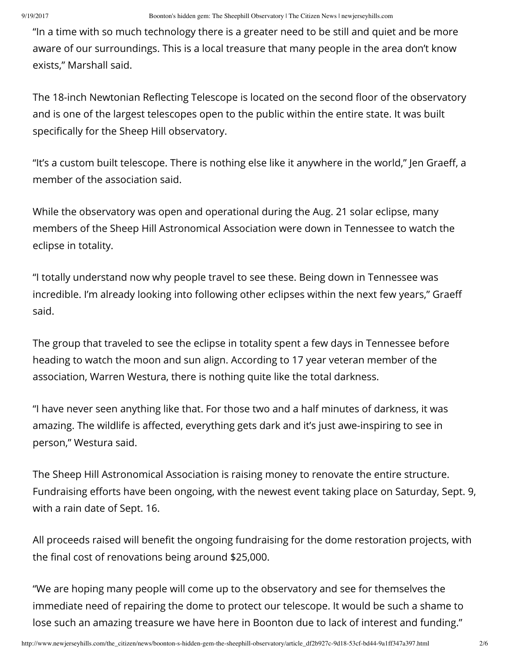"In a time with so much technology there is a greater need to be still and quiet and be more aware of our surroundings. This is a local treasure that many people in the area don't know exists," Marshall said.

The 18-inch Newtonian Reflecting Telescope is located on the second floor of the observatory and is one of the largest telescopes open to the public within the entire state. It was built specifically for the Sheep Hill observatory.

"It's a custom built telescope. There is nothing else like it anywhere in the world," Jen Graeff, a member of the association said.

While the observatory was open and operational during the Aug. 21 solar eclipse, many members of the Sheep Hill Astronomical Association were down in Tennessee to watch the eclipse in totality.

"I totally understand now why people travel to see these. Being down in Tennessee was incredible. I'm already looking into following other eclipses within the next few years," Graeff said.

The group that traveled to see the eclipse in totality spent a few days in Tennessee before heading to watch the moon and sun align. According to 17 year veteran member of the association, Warren Westura, there is nothing quite like the total darkness.

"I have never seen anything like that. For those two and a half minutes of darkness, it was amazing. The wildlife is affected, everything gets dark and it's just awe-inspiring to see in person," Westura said.

The Sheep Hill Astronomical Association is raising money to renovate the entire structure. Fundraising efforts have been ongoing, with the newest event taking place on Saturday, Sept. 9, with a rain date of Sept. 16.

All proceeds raised will benefit the ongoing fundraising for the dome restoration projects, with the final cost of renovations being around \$25,000.

"We are hoping many people will come up to the observatory and see for themselves the immediate need of repairing the dome to protect our telescope. It would be such a shame to lose such an amazing treasure we have here in Boonton due to lack of interest and funding."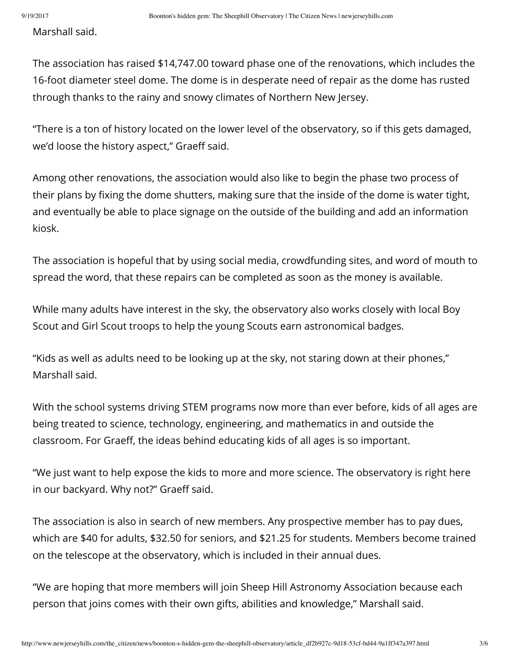Marshall said.

The association has raised \$14,747.00 toward phase one of the renovations, which includes the 16-foot diameter steel dome. The dome is in desperate need of repair as the dome has rusted through thanks to the rainy and snowy climates of Northern New Jersey.

"There is a ton of history located on the lower level of the observatory, so if this gets damaged, we'd loose the history aspect," Graeff said.

Among other renovations, the association would also like to begin the phase two process of their plans by fixing the dome shutters, making sure that the inside of the dome is water tight, and eventually be able to place signage on the outside of the building and add an information kiosk.

The association is hopeful that by using social media, crowdfunding sites, and word of mouth to spread the word, that these repairs can be completed as soon as the money is available.

While many adults have interest in the sky, the observatory also works closely with local Boy Scout and Girl Scout troops to help the young Scouts earn astronomical badges.

"Kids as well as adults need to be looking up at the sky, not staring down at their phones," Marshall said.

With the school systems driving STEM programs now more than ever before, kids of all ages are being treated to science, technology, engineering, and mathematics in and outside the classroom. For Graeff, the ideas behind educating kids of all ages is so important.

"We just want to help expose the kids to more and more science. The observatory is right here in our backyard. Why not?" Graeff said.

The association is also in search of new members. Any prospective member has to pay dues, which are \$40 for adults, \$32.50 for seniors, and \$21.25 for students. Members become trained on the telescope at the observatory, which is included in their annual dues.

"We are hoping that more members will join Sheep Hill Astronomy Association because each person that joins comes with their own gifts, abilities and knowledge," Marshall said.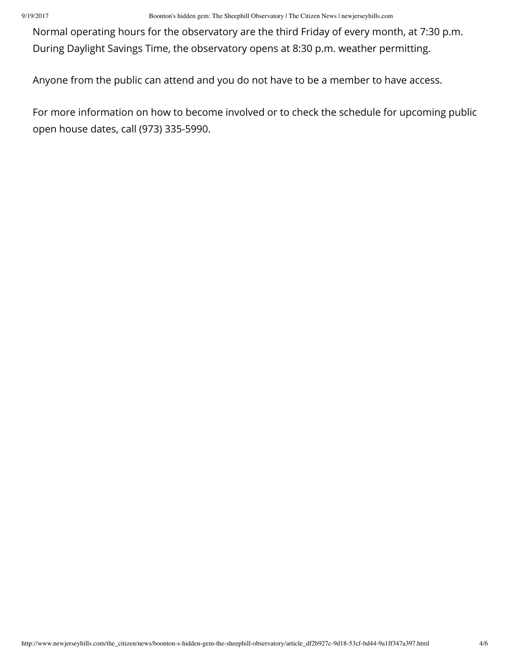9/19/2017 Boonton's hidden gem: The Sheephill Observatory | The Citizen News | newjerseyhills.com

Normal operating hours for the observatory are the third Friday of every month, at 7:30 p.m. During Daylight Savings Time, the observatory opens at 8:30 p.m. weather permitting.

Anyone from the public can attend and you do not have to be a member to have access.

For more information on how to become involved or to check the schedule for upcoming public open house dates, call (973) 335-5990.